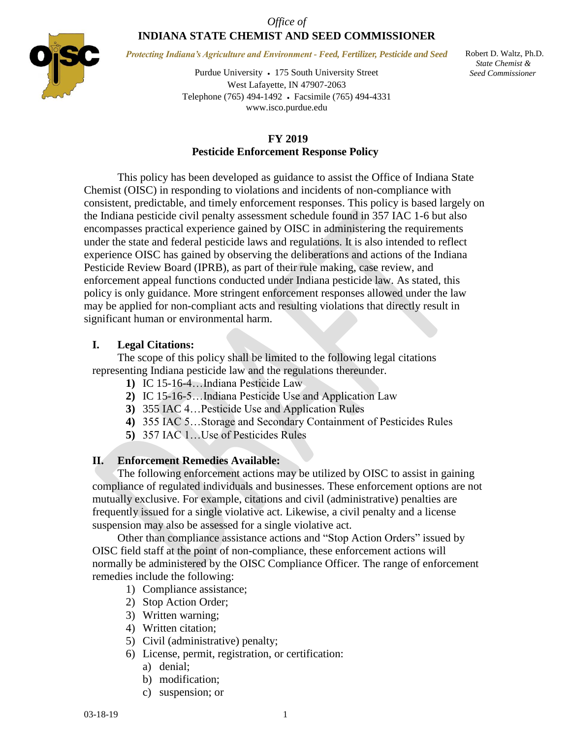### *Office of* **INDIANA STATE CHEMIST AND SEED COMMISSIONER**



*Protecting Indiana's Agriculture and Environment - Feed, Fertilizer, Pesticide and Seed*

Purdue University 175 South University Street West Lafayette, IN 47907-2063 Telephone (765) 494-1492 Facsimile (765) 494-4331 www.isco.purdue.edu

 Robert D. Waltz, Ph.D.  *State Chemist & Seed Commissioner*

## **FY 2019 Pesticide Enforcement Response Policy**

This policy has been developed as guidance to assist the Office of Indiana State Chemist (OISC) in responding to violations and incidents of non-compliance with consistent, predictable, and timely enforcement responses. This policy is based largely on the Indiana pesticide civil penalty assessment schedule found in 357 IAC 1-6 but also encompasses practical experience gained by OISC in administering the requirements under the state and federal pesticide laws and regulations. It is also intended to reflect experience OISC has gained by observing the deliberations and actions of the Indiana Pesticide Review Board (IPRB), as part of their rule making, case review, and enforcement appeal functions conducted under Indiana pesticide law. As stated, this policy is only guidance. More stringent enforcement responses allowed under the law may be applied for non-compliant acts and resulting violations that directly result in significant human or environmental harm.

## **I. Legal Citations:**

The scope of this policy shall be limited to the following legal citations representing Indiana pesticide law and the regulations thereunder.

- **1)** IC 15-16-4…Indiana Pesticide Law
- **2)** IC 15-16-5…Indiana Pesticide Use and Application Law
- **3)** 355 IAC 4…Pesticide Use and Application Rules
- **4)** 355 IAC 5…Storage and Secondary Containment of Pesticides Rules
- **5)** 357 IAC 1…Use of Pesticides Rules

# **II. Enforcement Remedies Available:**

The following enforcement actions may be utilized by OISC to assist in gaining compliance of regulated individuals and businesses. These enforcement options are not mutually exclusive. For example, citations and civil (administrative) penalties are frequently issued for a single violative act. Likewise, a civil penalty and a license suspension may also be assessed for a single violative act.

Other than compliance assistance actions and "Stop Action Orders" issued by OISC field staff at the point of non-compliance, these enforcement actions will normally be administered by the OISC Compliance Officer*.* The range of enforcement remedies include the following:

- 1) Compliance assistance;
- 2) Stop Action Order;
- 3) Written warning;
- 4) Written citation;
- 5) Civil (administrative) penalty;
- 6) License, permit, registration, or certification:
	- a) denial;
	- b) modification;
	- c) suspension; or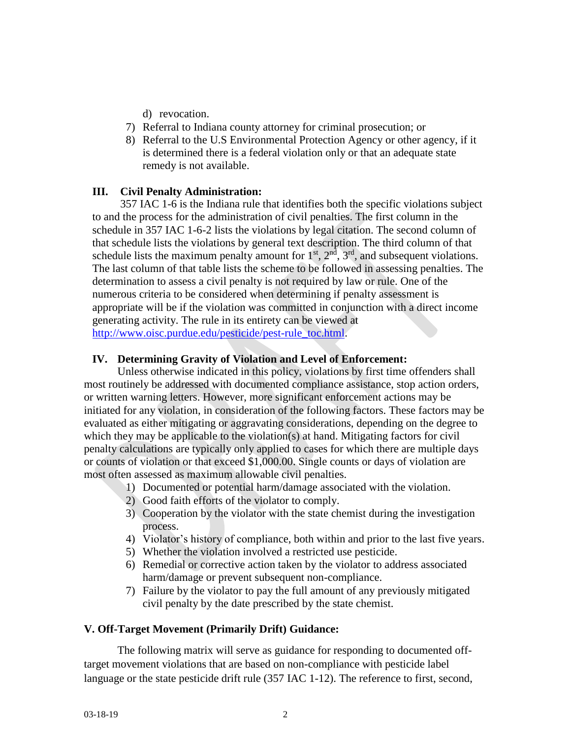- d) revocation.
- 7) Referral to Indiana county attorney for criminal prosecution; or
- 8) Referral to the U.S Environmental Protection Agency or other agency, if it is determined there is a federal violation only or that an adequate state remedy is not available.

## **III. Civil Penalty Administration:**

357 IAC 1-6 is the Indiana rule that identifies both the specific violations subject to and the process for the administration of civil penalties. The first column in the schedule in 357 IAC 1-6-2 lists the violations by legal citation. The second column of that schedule lists the violations by general text description. The third column of that schedule lists the maximum penalty amount for  $1<sup>st</sup>$ ,  $2<sup>nd</sup>$ ,  $3<sup>rd</sup>$ , and subsequent violations. The last column of that table lists the scheme to be followed in assessing penalties. The determination to assess a civil penalty is not required by law or rule. One of the numerous criteria to be considered when determining if penalty assessment is appropriate will be if the violation was committed in conjunction with a direct income generating activity. The rule in its entirety can be viewed at [http://www.oisc.purdue.edu/pesticide/pest-rule\\_toc.html.](http://www.oisc.purdue.edu/pesticide/pest-rule_toc.html)

## **IV. Determining Gravity of Violation and Level of Enforcement:**

Unless otherwise indicated in this policy, violations by first time offenders shall most routinely be addressed with documented compliance assistance, stop action orders, or written warning letters. However, more significant enforcement actions may be initiated for any violation, in consideration of the following factors. These factors may be evaluated as either mitigating or aggravating considerations, depending on the degree to which they may be applicable to the violation(s) at hand. Mitigating factors for civil penalty calculations are typically only applied to cases for which there are multiple days or counts of violation or that exceed \$1,000.00. Single counts or days of violation are most often assessed as maximum allowable civil penalties.

- 1) Documented or potential harm/damage associated with the violation.
- 2) Good faith efforts of the violator to comply.
- 3) Cooperation by the violator with the state chemist during the investigation process.
- 4) Violator's history of compliance, both within and prior to the last five years.
- 5) Whether the violation involved a restricted use pesticide.
- 6) Remedial or corrective action taken by the violator to address associated harm/damage or prevent subsequent non-compliance.
- 7) Failure by the violator to pay the full amount of any previously mitigated civil penalty by the date prescribed by the state chemist.

# **V. Off-Target Movement (Primarily Drift) Guidance:**

The following matrix will serve as guidance for responding to documented offtarget movement violations that are based on non-compliance with pesticide label language or the state pesticide drift rule (357 IAC 1-12). The reference to first, second,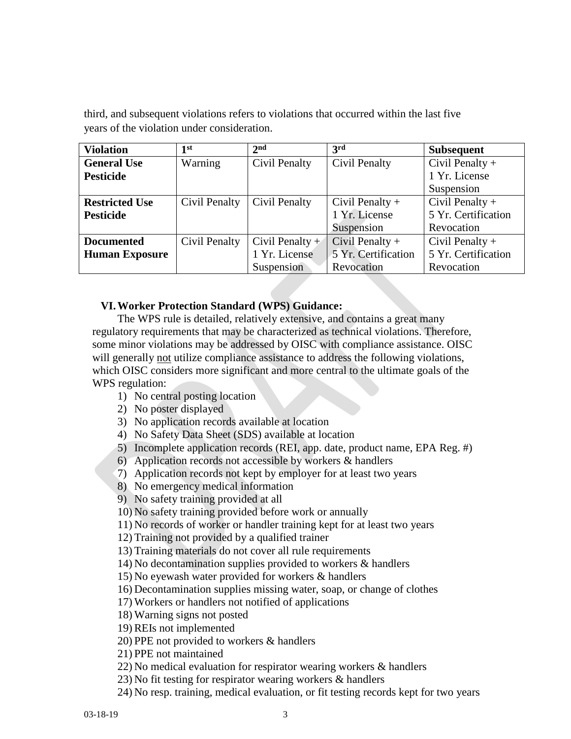third, and subsequent violations refers to violations that occurred within the last five years of the violation under consideration.

| <b>Violation</b>      | 1 <sup>st</sup> | 2 <sub>nd</sub>   | 3rd                 | <b>Subsequent</b>   |
|-----------------------|-----------------|-------------------|---------------------|---------------------|
| <b>General Use</b>    | Warning         | Civil Penalty     | Civil Penalty       | Civil Penalty $+$   |
| <b>Pesticide</b>      |                 |                   |                     | 1 Yr. License       |
|                       |                 |                   |                     | Suspension          |
| <b>Restricted Use</b> | Civil Penalty   | Civil Penalty     | Civil Penalty $+$   | Civil Penalty $+$   |
| <b>Pesticide</b>      |                 |                   | 1 Yr. License       | 5 Yr. Certification |
|                       |                 |                   | Suspension          | Revocation          |
| <b>Documented</b>     | Civil Penalty   | Civil Penalty $+$ | Civil Penalty $+$   | Civil Penalty $+$   |
| <b>Human Exposure</b> |                 | 1 Yr. License     | 5 Yr. Certification | 5 Yr. Certification |
|                       |                 | Suspension        | Revocation          | Revocation          |

### **VI.Worker Protection Standard (WPS) Guidance:**

The WPS rule is detailed, relatively extensive, and contains a great many regulatory requirements that may be characterized as technical violations. Therefore, some minor violations may be addressed by OISC with compliance assistance. OISC will generally not utilize compliance assistance to address the following violations, which OISC considers more significant and more central to the ultimate goals of the WPS regulation:

- 1) No central posting location
- 2) No poster displayed
- 3) No application records available at location
- 4) No Safety Data Sheet (SDS) available at location
- 5) Incomplete application records (REI, app. date, product name, EPA Reg. #)
- 6) Application records not accessible by workers & handlers
- 7) Application records not kept by employer for at least two years
- 8) No emergency medical information
- 9) No safety training provided at all
- 10) No safety training provided before work or annually
- 11) No records of worker or handler training kept for at least two years
- 12) Training not provided by a qualified trainer
- 13) Training materials do not cover all rule requirements
- 14) No decontamination supplies provided to workers & handlers
- 15) No eyewash water provided for workers & handlers
- 16) Decontamination supplies missing water, soap, or change of clothes
- 17) Workers or handlers not notified of applications
- 18) Warning signs not posted
- 19) REIs not implemented
- 20) PPE not provided to workers & handlers
- 21) PPE not maintained
- 22) No medical evaluation for respirator wearing workers & handlers
- 23) No fit testing for respirator wearing workers & handlers
- 24) No resp. training, medical evaluation, or fit testing records kept for two years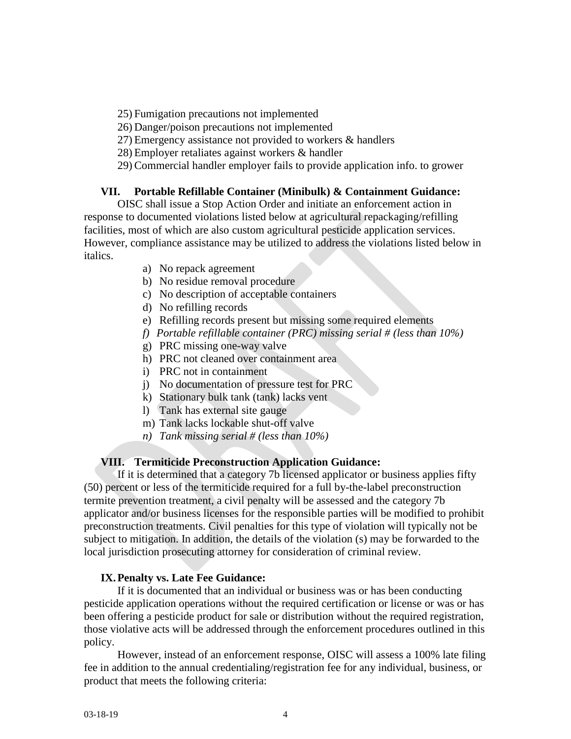25) Fumigation precautions not implemented

26) Danger/poison precautions not implemented

27) Emergency assistance not provided to workers & handlers

28) Employer retaliates against workers & handler

29) Commercial handler employer fails to provide application info. to grower

## **VII. Portable Refillable Container (Minibulk) & Containment Guidance:**

OISC shall issue a Stop Action Order and initiate an enforcement action in response to documented violations listed below at agricultural repackaging/refilling facilities, most of which are also custom agricultural pesticide application services. However, compliance assistance may be utilized to address the violations listed below in italics.

- a) No repack agreement
- b) No residue removal procedure
- c) No description of acceptable containers
- d) No refilling records
- e) Refilling records present but missing some required elements
- *f) Portable refillable container (PRC) missing serial # (less than 10%)*
- g) PRC missing one-way valve
- h) PRC not cleaned over containment area
- i) PRC not in containment
- j) No documentation of pressure test for PRC
- k) Stationary bulk tank (tank) lacks vent
- l) Tank has external site gauge
- m) Tank lacks lockable shut-off valve
- *n) Tank missing serial # (less than 10%)*

# **VIII. Termiticide Preconstruction Application Guidance:**

If it is determined that a category 7b licensed applicator or business applies fifty (50) percent or less of the termiticide required for a full by-the-label preconstruction termite prevention treatment, a civil penalty will be assessed and the category 7b applicator and/or business licenses for the responsible parties will be modified to prohibit preconstruction treatments. Civil penalties for this type of violation will typically not be subject to mitigation. In addition, the details of the violation (s) may be forwarded to the local jurisdiction prosecuting attorney for consideration of criminal review.

# **IX.Penalty vs. Late Fee Guidance:**

If it is documented that an individual or business was or has been conducting pesticide application operations without the required certification or license or was or has been offering a pesticide product for sale or distribution without the required registration, those violative acts will be addressed through the enforcement procedures outlined in this policy.

However, instead of an enforcement response, OISC will assess a 100% late filing fee in addition to the annual credentialing/registration fee for any individual, business, or product that meets the following criteria: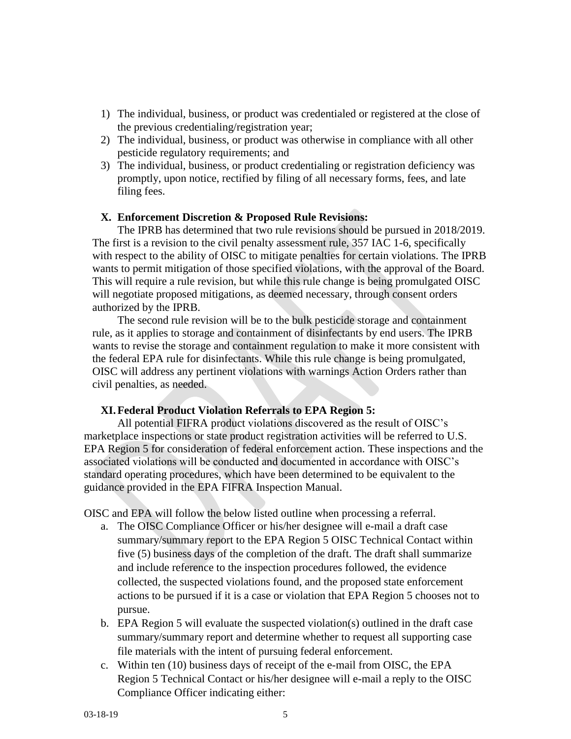- 1) The individual, business, or product was credentialed or registered at the close of the previous credentialing/registration year;
- 2) The individual, business, or product was otherwise in compliance with all other pesticide regulatory requirements; and
- 3) The individual, business, or product credentialing or registration deficiency was promptly, upon notice, rectified by filing of all necessary forms, fees, and late filing fees.

#### **X. Enforcement Discretion & Proposed Rule Revisions:**

The IPRB has determined that two rule revisions should be pursued in 2018/2019. The first is a revision to the civil penalty assessment rule, 357 IAC 1-6, specifically with respect to the ability of OISC to mitigate penalties for certain violations. The IPRB wants to permit mitigation of those specified violations, with the approval of the Board. This will require a rule revision, but while this rule change is being promulgated OISC will negotiate proposed mitigations, as deemed necessary, through consent orders authorized by the IPRB.

The second rule revision will be to the bulk pesticide storage and containment rule, as it applies to storage and containment of disinfectants by end users. The IPRB wants to revise the storage and containment regulation to make it more consistent with the federal EPA rule for disinfectants. While this rule change is being promulgated, OISC will address any pertinent violations with warnings Action Orders rather than civil penalties, as needed.

### **XI.Federal Product Violation Referrals to EPA Region 5:**

All potential FIFRA product violations discovered as the result of OISC's marketplace inspections or state product registration activities will be referred to U.S. EPA Region 5 for consideration of federal enforcement action. These inspections and the associated violations will be conducted and documented in accordance with OISC's standard operating procedures, which have been determined to be equivalent to the guidance provided in the EPA FIFRA Inspection Manual.

OISC and EPA will follow the below listed outline when processing a referral.

- a. The OISC Compliance Officer or his/her designee will e-mail a draft case summary/summary report to the EPA Region 5 OISC Technical Contact within five (5) business days of the completion of the draft. The draft shall summarize and include reference to the inspection procedures followed, the evidence collected, the suspected violations found, and the proposed state enforcement actions to be pursued if it is a case or violation that EPA Region 5 chooses not to pursue.
- b. EPA Region 5 will evaluate the suspected violation(s) outlined in the draft case summary/summary report and determine whether to request all supporting case file materials with the intent of pursuing federal enforcement.
- c. Within ten (10) business days of receipt of the e-mail from OISC, the EPA Region 5 Technical Contact or his/her designee will e-mail a reply to the OISC Compliance Officer indicating either: